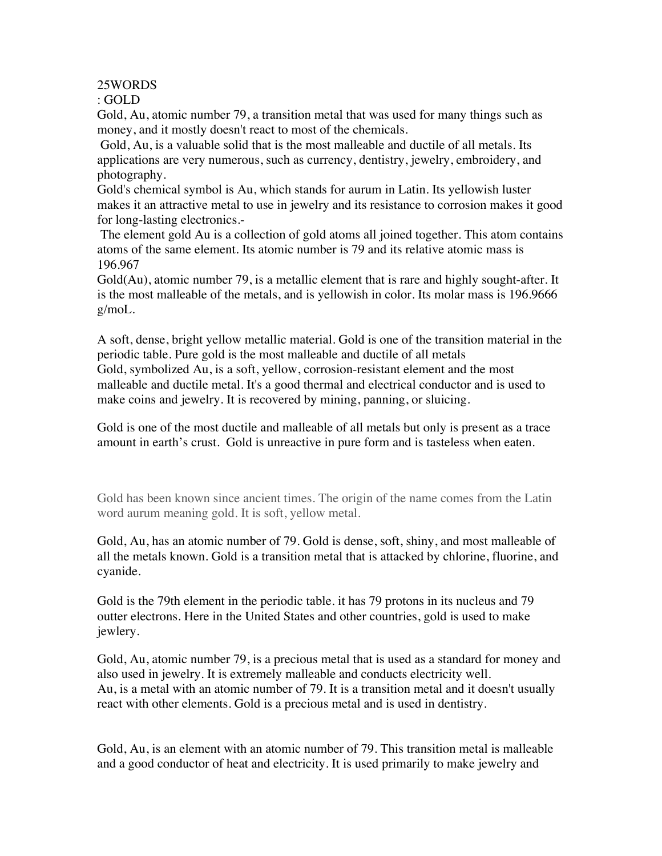25WORDS

: GOLD

Gold, Au, atomic number 79, a transition metal that was used for many things such as money, and it mostly doesn't react to most of the chemicals.

 Gold, Au, is a valuable solid that is the most malleable and ductile of all metals. Its applications are very numerous, such as currency, dentistry, jewelry, embroidery, and photography.

Gold's chemical symbol is Au, which stands for aurum in Latin. Its yellowish luster makes it an attractive metal to use in jewelry and its resistance to corrosion makes it good for long-lasting electronics.-

 The element gold Au is a collection of gold atoms all joined together. This atom contains atoms of the same element. Its atomic number is 79 and its relative atomic mass is 196.967

Gold(Au), atomic number 79, is a metallic element that is rare and highly sought-after. It is the most malleable of the metals, and is yellowish in color. Its molar mass is 196.9666 g/moL.

A soft, dense, bright yellow metallic material. Gold is one of the transition material in the periodic table. Pure gold is the most malleable and ductile of all metals Gold, symbolized Au, is a soft, yellow, corrosion-resistant element and the most malleable and ductile metal. It's a good thermal and electrical conductor and is used to make coins and jewelry. It is recovered by mining, panning, or sluicing.

Gold is one of the most ductile and malleable of all metals but only is present as a trace amount in earth's crust. Gold is unreactive in pure form and is tasteless when eaten.

Gold has been known since ancient times. The origin of the name comes from the Latin word aurum meaning gold. It is soft, yellow metal.

Gold, Au, has an atomic number of 79. Gold is dense, soft, shiny, and most malleable of all the metals known. Gold is a transition metal that is attacked by chlorine, fluorine, and cyanide.

Gold is the 79th element in the periodic table. it has 79 protons in its nucleus and 79 outter electrons. Here in the United States and other countries, gold is used to make jewlery.

Gold, Au, atomic number 79, is a precious metal that is used as a standard for money and also used in jewelry. It is extremely malleable and conducts electricity well. Au, is a metal with an atomic number of 79. It is a transition metal and it doesn't usually react with other elements. Gold is a precious metal and is used in dentistry.

Gold, Au, is an element with an atomic number of 79. This transition metal is malleable and a good conductor of heat and electricity. It is used primarily to make jewelry and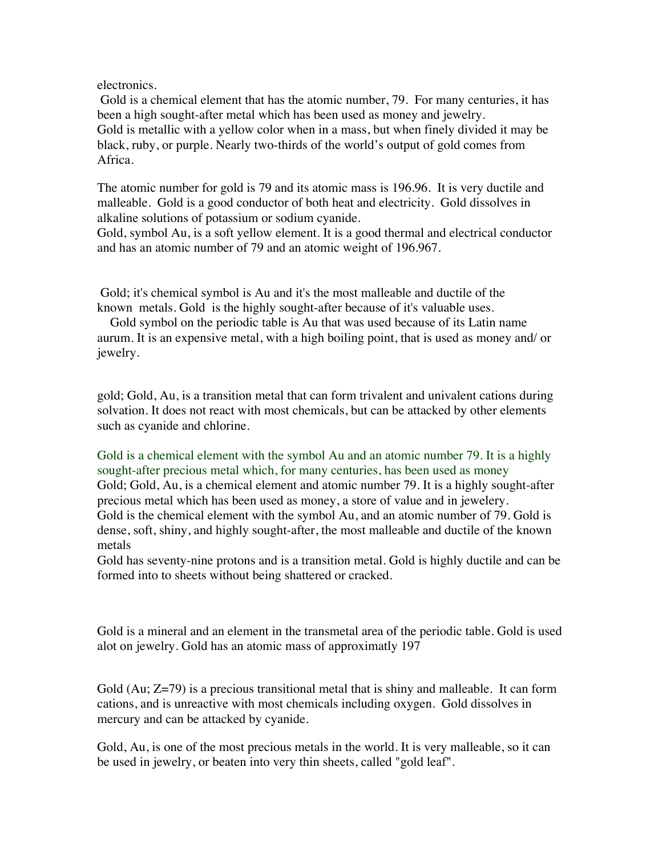electronics.

Gold is a chemical element that has the atomic number, 79. For many centuries, it has been a high sought-after metal which has been used as money and jewelry. Gold is metallic with a yellow color when in a mass, but when finely divided it may be black, ruby, or purple. Nearly two-thirds of the world's output of gold comes from Africa.

The atomic number for gold is 79 and its atomic mass is 196.96. It is very ductile and malleable. Gold is a good conductor of both heat and electricity. Gold dissolves in alkaline solutions of potassium or sodium cyanide.

Gold, symbol Au, is a soft yellow element. It is a good thermal and electrical conductor and has an atomic number of 79 and an atomic weight of 196.967.

 Gold; it's chemical symbol is Au and it's the most malleable and ductile of the known metals. Gold is the highly sought-after because of it's valuable uses.

 Gold symbol on the periodic table is Au that was used because of its Latin name aurum. It is an expensive metal, with a high boiling point, that is used as money and/ or jewelry.

gold; Gold, Au, is a transition metal that can form trivalent and univalent cations during solvation. It does not react with most chemicals, but can be attacked by other elements such as cyanide and chlorine.

Gold is a chemical element with the symbol Au and an atomic number 79. It is a highly sought-after precious metal which, for many centuries, has been used as money Gold; Gold, Au, is a chemical element and atomic number 79. It is a highly sought-after precious metal which has been used as money, a store of value and in jewelery. Gold is the chemical element with the symbol Au, and an atomic number of 79. Gold is dense, soft, shiny, and highly sought-after, the most malleable and ductile of the known metals

Gold has seventy-nine protons and is a transition metal. Gold is highly ductile and can be formed into to sheets without being shattered or cracked.

Gold is a mineral and an element in the transmetal area of the periodic table. Gold is used alot on jewelry. Gold has an atomic mass of approximatly 197

Gold (Au;  $Z=79$ ) is a precious transitional metal that is shiny and malleable. It can form cations, and is unreactive with most chemicals including oxygen. Gold dissolves in mercury and can be attacked by cyanide.

Gold, Au, is one of the most precious metals in the world. It is very malleable, so it can be used in jewelry, or beaten into very thin sheets, called "gold leaf".